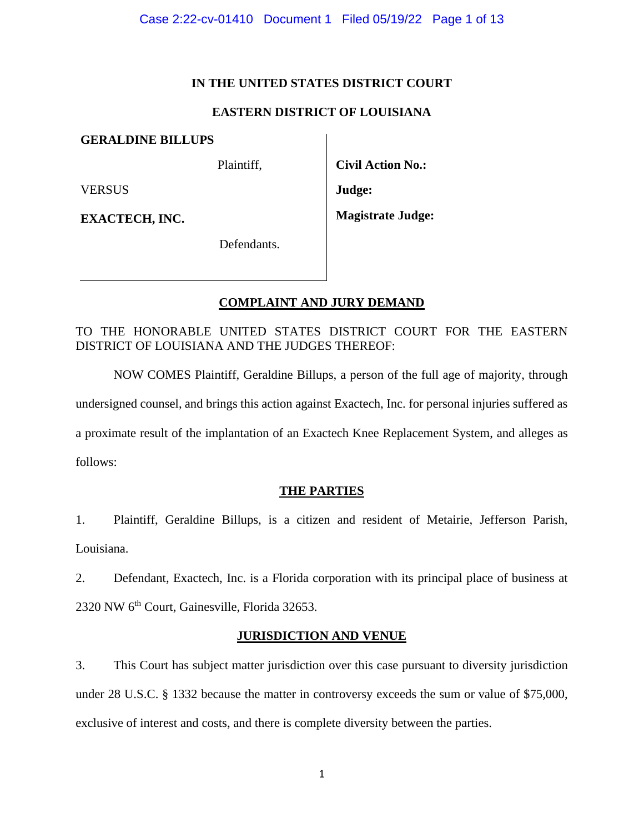### **IN THE UNITED STATES DISTRICT COURT**

## **EASTERN DISTRICT OF LOUISIANA**

**GERALDINE BILLUPS**

Plaintiff,

VERSUS

**EXACTECH, INC.**

**Civil Action No.: Judge:**

**Magistrate Judge:**

Defendants.

# **COMPLAINT AND JURY DEMAND**

TO THE HONORABLE UNITED STATES DISTRICT COURT FOR THE EASTERN DISTRICT OF LOUISIANA AND THE JUDGES THEREOF:

NOW COMES Plaintiff, Geraldine Billups, a person of the full age of majority, through undersigned counsel, and brings this action against Exactech, Inc. for personal injuries suffered as a proximate result of the implantation of an Exactech Knee Replacement System, and alleges as follows:

# **THE PARTIES**

1. Plaintiff, Geraldine Billups, is a citizen and resident of Metairie, Jefferson Parish, Louisiana.

2. Defendant, Exactech, Inc. is a Florida corporation with its principal place of business at 2320 NW 6th Court, Gainesville, Florida 32653.

## **JURISDICTION AND VENUE**

3. This Court has subject matter jurisdiction over this case pursuant to diversity jurisdiction under 28 U.S.C. § 1332 because the matter in controversy exceeds the sum or value of \$75,000, exclusive of interest and costs, and there is complete diversity between the parties.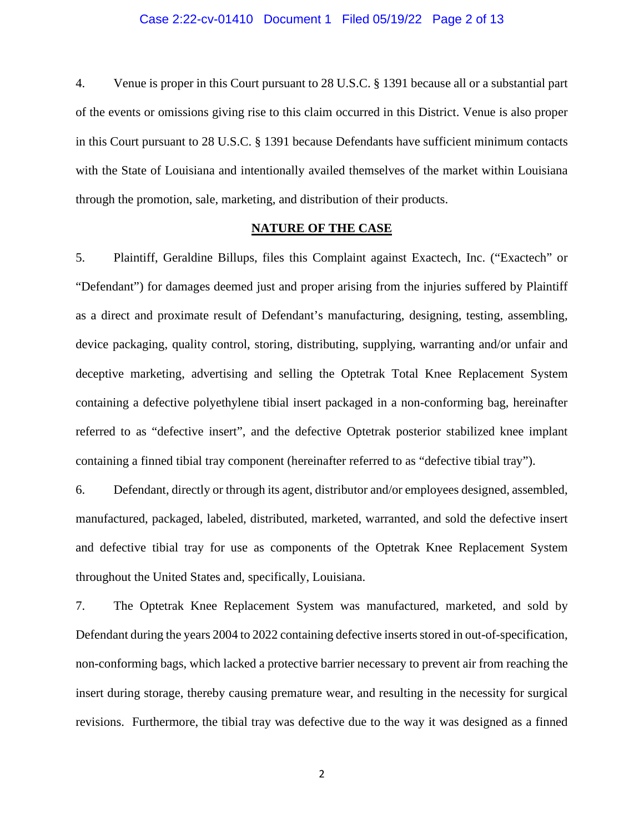#### Case 2:22-cv-01410 Document 1 Filed 05/19/22 Page 2 of 13

4. Venue is proper in this Court pursuant to 28 U.S.C. § 1391 because all or a substantial part of the events or omissions giving rise to this claim occurred in this District. Venue is also proper in this Court pursuant to 28 U.S.C. § 1391 because Defendants have sufficient minimum contacts with the State of Louisiana and intentionally availed themselves of the market within Louisiana through the promotion, sale, marketing, and distribution of their products.

### **NATURE OF THE CASE**

5. Plaintiff, Geraldine Billups, files this Complaint against Exactech, Inc. ("Exactech" or "Defendant") for damages deemed just and proper arising from the injuries suffered by Plaintiff as a direct and proximate result of Defendant's manufacturing, designing, testing, assembling, device packaging, quality control, storing, distributing, supplying, warranting and/or unfair and deceptive marketing, advertising and selling the Optetrak Total Knee Replacement System containing a defective polyethylene tibial insert packaged in a non-conforming bag, hereinafter referred to as "defective insert", and the defective Optetrak posterior stabilized knee implant containing a finned tibial tray component (hereinafter referred to as "defective tibial tray").

6. Defendant, directly or through its agent, distributor and/or employees designed, assembled, manufactured, packaged, labeled, distributed, marketed, warranted, and sold the defective insert and defective tibial tray for use as components of the Optetrak Knee Replacement System throughout the United States and, specifically, Louisiana.

7. The Optetrak Knee Replacement System was manufactured, marketed, and sold by Defendant during the years 2004 to 2022 containing defective inserts stored in out-of-specification, non-conforming bags, which lacked a protective barrier necessary to prevent air from reaching the insert during storage, thereby causing premature wear, and resulting in the necessity for surgical revisions. Furthermore, the tibial tray was defective due to the way it was designed as a finned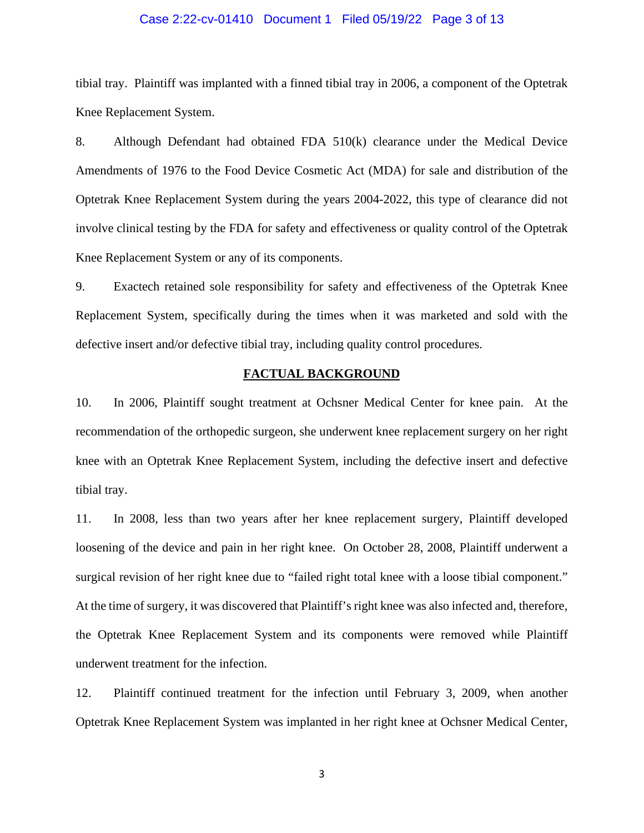### Case 2:22-cv-01410 Document 1 Filed 05/19/22 Page 3 of 13

tibial tray. Plaintiff was implanted with a finned tibial tray in 2006, a component of the Optetrak Knee Replacement System.

8. Although Defendant had obtained FDA 510(k) clearance under the Medical Device Amendments of 1976 to the Food Device Cosmetic Act (MDA) for sale and distribution of the Optetrak Knee Replacement System during the years 2004-2022, this type of clearance did not involve clinical testing by the FDA for safety and effectiveness or quality control of the Optetrak Knee Replacement System or any of its components.

9. Exactech retained sole responsibility for safety and effectiveness of the Optetrak Knee Replacement System, specifically during the times when it was marketed and sold with the defective insert and/or defective tibial tray, including quality control procedures.

#### **FACTUAL BACKGROUND**

10. In 2006, Plaintiff sought treatment at Ochsner Medical Center for knee pain. At the recommendation of the orthopedic surgeon, she underwent knee replacement surgery on her right knee with an Optetrak Knee Replacement System, including the defective insert and defective tibial tray.

11. In 2008, less than two years after her knee replacement surgery, Plaintiff developed loosening of the device and pain in her right knee. On October 28, 2008, Plaintiff underwent a surgical revision of her right knee due to "failed right total knee with a loose tibial component." At the time of surgery, it was discovered that Plaintiff's right knee was also infected and, therefore, the Optetrak Knee Replacement System and its components were removed while Plaintiff underwent treatment for the infection.

12. Plaintiff continued treatment for the infection until February 3, 2009, when another Optetrak Knee Replacement System was implanted in her right knee at Ochsner Medical Center,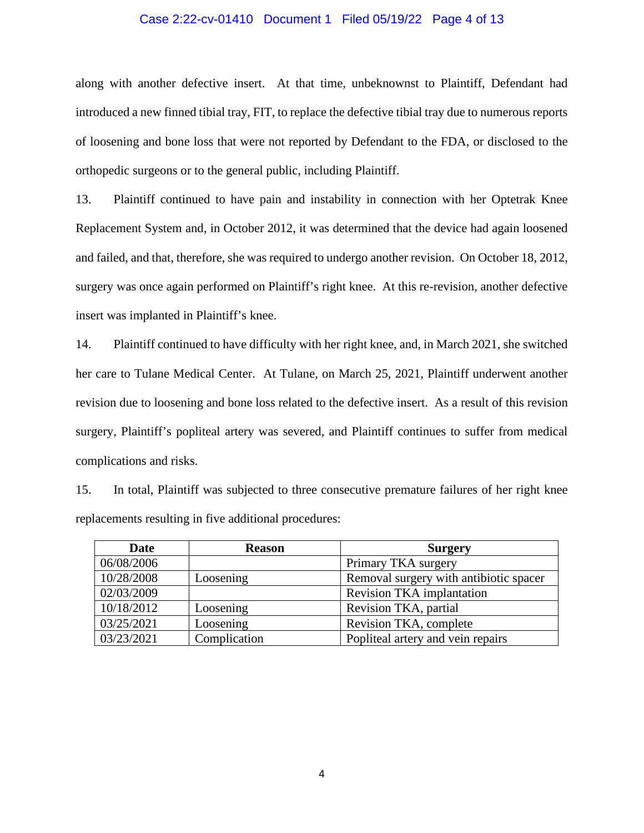### Case 2:22-cv-01410 Document 1 Filed 05/19/22 Page 4 of 13

along with another defective insert. At that time, unbeknownst to Plaintiff, Defendant had introduced a new finned tibial tray, FIT, to replace the defective tibial tray due to numerous reports of loosening and bone loss that were not reported by Defendant to the FDA, or disclosed to the orthopedic surgeons or to the general public, including Plaintiff.

13. Plaintiff continued to have pain and instability in connection with her Optetrak Knee Replacement System and, in October 2012, it was determined that the device had again loosened and failed, and that, therefore, she was required to undergo another revision. On October 18, 2012, surgery was once again performed on Plaintiff's right knee. At this re-revision, another defective insert was implanted in Plaintiff's knee.

14. Plaintiff continued to have difficulty with her right knee, and, in March 2021, she switched her care to Tulane Medical Center. At Tulane, on March 25, 2021, Plaintiff underwent another revision due to loosening and bone loss related to the defective insert. As a result of this revision surgery, Plaintiff's popliteal artery was severed, and Plaintiff continues to suffer from medical complications and risks.

15. In total, Plaintiff was subjected to three consecutive premature failures of her right knee replacements resulting in five additional procedures:

| Date       | <b>Reason</b> | <b>Surgery</b>                         |
|------------|---------------|----------------------------------------|
| 06/08/2006 |               | Primary TKA surgery                    |
| 10/28/2008 | Loosening     | Removal surgery with antibiotic spacer |
| 02/03/2009 |               | <b>Revision TKA</b> implantation       |
| 10/18/2012 | Loosening     | Revision TKA, partial                  |
| 03/25/2021 | Loosening     | Revision TKA, complete                 |
| 03/23/2021 | Complication  | Popliteal artery and vein repairs      |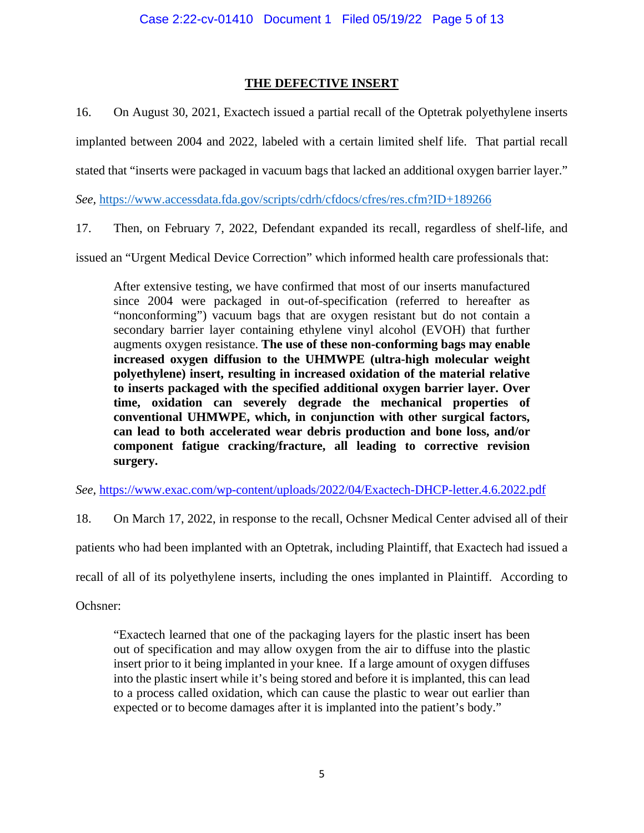# **THE DEFECTIVE INSERT**

16. On August 30, 2021, Exactech issued a partial recall of the Optetrak polyethylene inserts implanted between 2004 and 2022, labeled with a certain limited shelf life. That partial recall stated that "inserts were packaged in vacuum bags that lacked an additional oxygen barrier layer."

*See,* <https://www.accessdata.fda.gov/scripts/cdrh/cfdocs/cfres/res.cfm?ID+189266>

17. Then, on February 7, 2022, Defendant expanded its recall, regardless of shelf-life, and

issued an "Urgent Medical Device Correction" which informed health care professionals that:

After extensive testing, we have confirmed that most of our inserts manufactured since 2004 were packaged in out-of-specification (referred to hereafter as "nonconforming") vacuum bags that are oxygen resistant but do not contain a secondary barrier layer containing ethylene vinyl alcohol (EVOH) that further augments oxygen resistance. **The use of these non-conforming bags may enable increased oxygen diffusion to the UHMWPE (ultra-high molecular weight polyethylene) insert, resulting in increased oxidation of the material relative to inserts packaged with the specified additional oxygen barrier layer. Over time, oxidation can severely degrade the mechanical properties of conventional UHMWPE, which, in conjunction with other surgical factors, can lead to both accelerated wear debris production and bone loss, and/or component fatigue cracking/fracture, all leading to corrective revision surgery.**

*See,* <https://www.exac.com/wp-content/uploads/2022/04/Exactech-DHCP-letter.4.6.2022.pdf>

18. On March 17, 2022, in response to the recall, Ochsner Medical Center advised all of their

patients who had been implanted with an Optetrak, including Plaintiff, that Exactech had issued a

recall of all of its polyethylene inserts, including the ones implanted in Plaintiff. According to

Ochsner:

"Exactech learned that one of the packaging layers for the plastic insert has been out of specification and may allow oxygen from the air to diffuse into the plastic insert prior to it being implanted in your knee. If a large amount of oxygen diffuses into the plastic insert while it's being stored and before it is implanted, this can lead to a process called oxidation, which can cause the plastic to wear out earlier than expected or to become damages after it is implanted into the patient's body."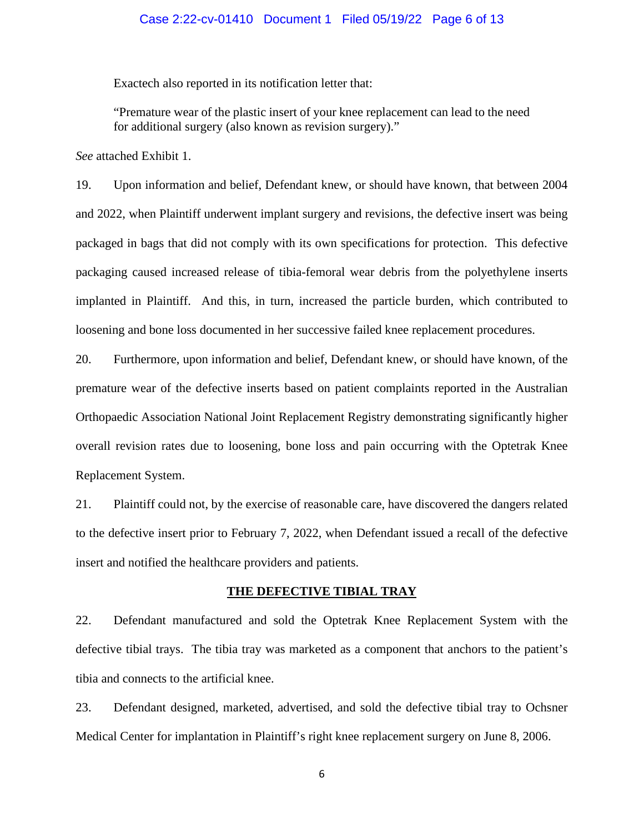### Case 2:22-cv-01410 Document 1 Filed 05/19/22 Page 6 of 13

Exactech also reported in its notification letter that:

"Premature wear of the plastic insert of your knee replacement can lead to the need for additional surgery (also known as revision surgery)."

*See* attached Exhibit 1.

19. Upon information and belief, Defendant knew, or should have known, that between 2004 and 2022, when Plaintiff underwent implant surgery and revisions, the defective insert was being packaged in bags that did not comply with its own specifications for protection. This defective packaging caused increased release of tibia-femoral wear debris from the polyethylene inserts implanted in Plaintiff. And this, in turn, increased the particle burden, which contributed to loosening and bone loss documented in her successive failed knee replacement procedures.

20. Furthermore, upon information and belief, Defendant knew, or should have known, of the premature wear of the defective inserts based on patient complaints reported in the Australian Orthopaedic Association National Joint Replacement Registry demonstrating significantly higher overall revision rates due to loosening, bone loss and pain occurring with the Optetrak Knee Replacement System.

21. Plaintiff could not, by the exercise of reasonable care, have discovered the dangers related to the defective insert prior to February 7, 2022, when Defendant issued a recall of the defective insert and notified the healthcare providers and patients.

### **THE DEFECTIVE TIBIAL TRAY**

22. Defendant manufactured and sold the Optetrak Knee Replacement System with the defective tibial trays. The tibia tray was marketed as a component that anchors to the patient's tibia and connects to the artificial knee.

23. Defendant designed, marketed, advertised, and sold the defective tibial tray to Ochsner Medical Center for implantation in Plaintiff's right knee replacement surgery on June 8, 2006.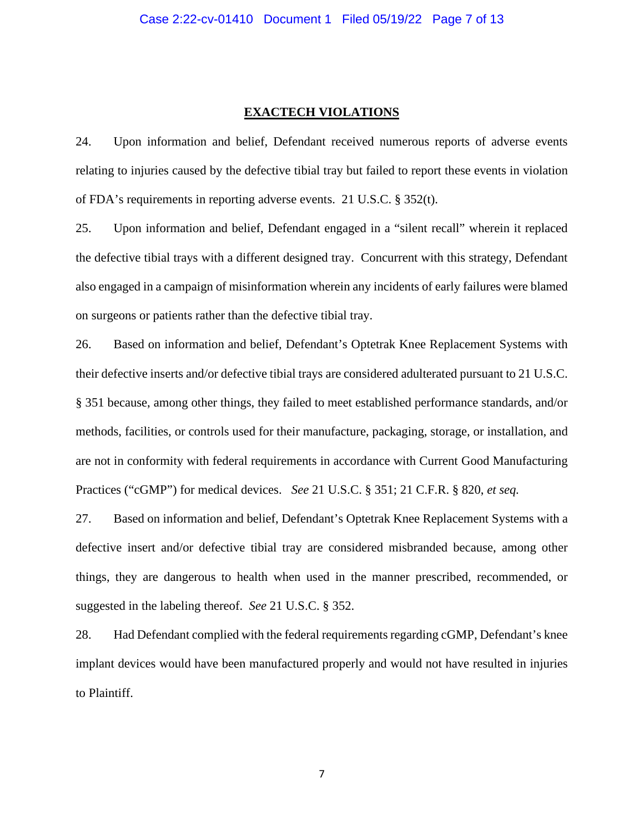### **EXACTECH VIOLATIONS**

24. Upon information and belief, Defendant received numerous reports of adverse events relating to injuries caused by the defective tibial tray but failed to report these events in violation of FDA's requirements in reporting adverse events. 21 U.S.C. § 352(t).

25. Upon information and belief, Defendant engaged in a "silent recall" wherein it replaced the defective tibial trays with a different designed tray. Concurrent with this strategy, Defendant also engaged in a campaign of misinformation wherein any incidents of early failures were blamed on surgeons or patients rather than the defective tibial tray.

26. Based on information and belief, Defendant's Optetrak Knee Replacement Systems with their defective inserts and/or defective tibial trays are considered adulterated pursuant to 21 U.S.C. § 351 because, among other things, they failed to meet established performance standards, and/or methods, facilities, or controls used for their manufacture, packaging, storage, or installation, and are not in conformity with federal requirements in accordance with Current Good Manufacturing Practices ("cGMP") for medical devices. *See* 21 U.S.C. § 351; 21 C.F.R. § 820, *et seq.*

27. Based on information and belief, Defendant's Optetrak Knee Replacement Systems with a defective insert and/or defective tibial tray are considered misbranded because, among other things, they are dangerous to health when used in the manner prescribed, recommended, or suggested in the labeling thereof. *See* 21 U.S.C. § 352.

28. Had Defendant complied with the federal requirements regarding cGMP, Defendant's knee implant devices would have been manufactured properly and would not have resulted in injuries to Plaintiff.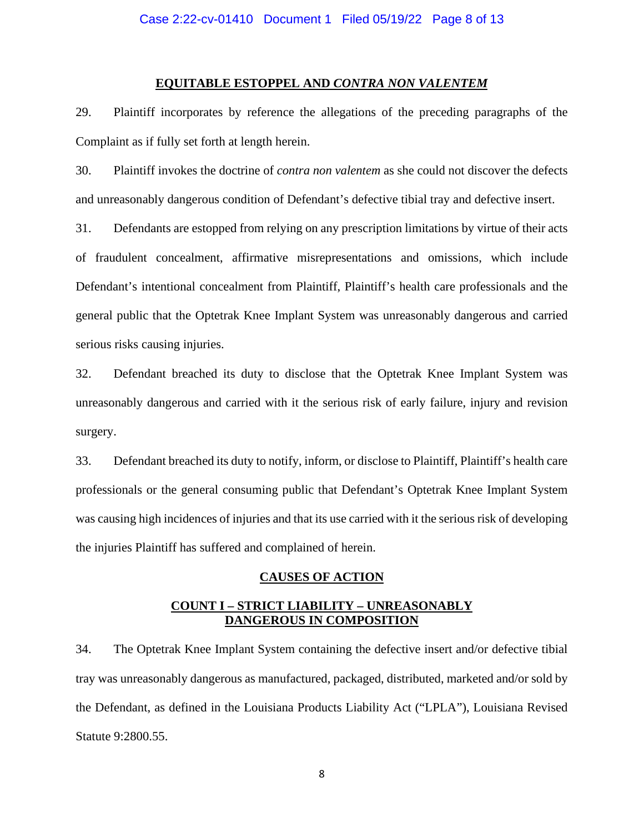### **EQUITABLE ESTOPPEL AND** *CONTRA NON VALENTEM*

29. Plaintiff incorporates by reference the allegations of the preceding paragraphs of the Complaint as if fully set forth at length herein.

30. Plaintiff invokes the doctrine of *contra non valentem* as she could not discover the defects and unreasonably dangerous condition of Defendant's defective tibial tray and defective insert.

31. Defendants are estopped from relying on any prescription limitations by virtue of their acts of fraudulent concealment, affirmative misrepresentations and omissions, which include Defendant's intentional concealment from Plaintiff, Plaintiff's health care professionals and the general public that the Optetrak Knee Implant System was unreasonably dangerous and carried serious risks causing injuries.

32. Defendant breached its duty to disclose that the Optetrak Knee Implant System was unreasonably dangerous and carried with it the serious risk of early failure, injury and revision surgery.

33. Defendant breached its duty to notify, inform, or disclose to Plaintiff, Plaintiff's health care professionals or the general consuming public that Defendant's Optetrak Knee Implant System was causing high incidences of injuries and that its use carried with it the serious risk of developing the injuries Plaintiff has suffered and complained of herein.

### **CAUSES OF ACTION**

## **COUNT I – STRICT LIABILITY – UNREASONABLY DANGEROUS IN COMPOSITION**

34. The Optetrak Knee Implant System containing the defective insert and/or defective tibial tray was unreasonably dangerous as manufactured, packaged, distributed, marketed and/or sold by the Defendant, as defined in the Louisiana Products Liability Act ("LPLA"), Louisiana Revised Statute 9:2800.55.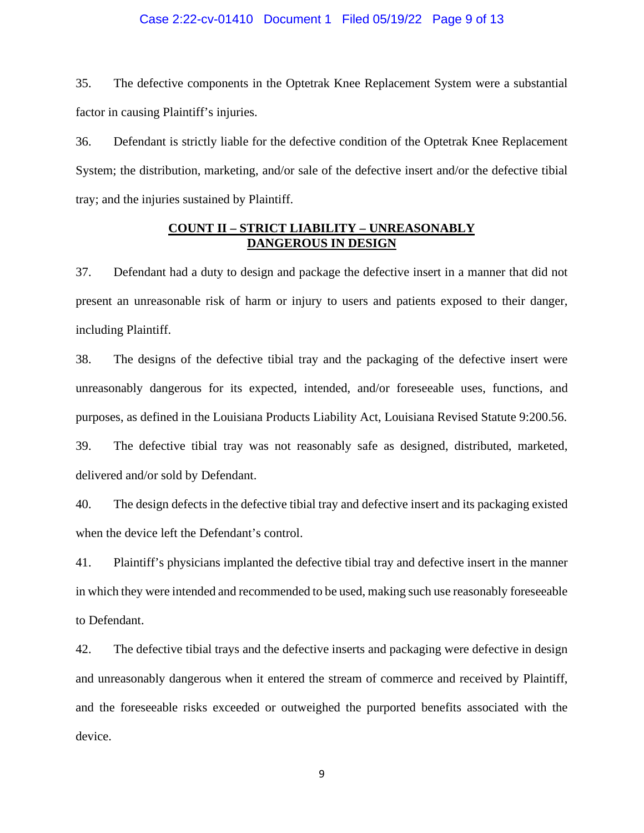#### Case 2:22-cv-01410 Document 1 Filed 05/19/22 Page 9 of 13

35. The defective components in the Optetrak Knee Replacement System were a substantial factor in causing Plaintiff's injuries.

36. Defendant is strictly liable for the defective condition of the Optetrak Knee Replacement System; the distribution, marketing, and/or sale of the defective insert and/or the defective tibial tray; and the injuries sustained by Plaintiff.

### **COUNT II – STRICT LIABILITY – UNREASONABLY DANGEROUS IN DESIGN**

37. Defendant had a duty to design and package the defective insert in a manner that did not present an unreasonable risk of harm or injury to users and patients exposed to their danger, including Plaintiff.

38. The designs of the defective tibial tray and the packaging of the defective insert were unreasonably dangerous for its expected, intended, and/or foreseeable uses, functions, and purposes, as defined in the Louisiana Products Liability Act, Louisiana Revised Statute 9:200.56.

39. The defective tibial tray was not reasonably safe as designed, distributed, marketed, delivered and/or sold by Defendant.

40. The design defects in the defective tibial tray and defective insert and its packaging existed when the device left the Defendant's control.

41. Plaintiff's physicians implanted the defective tibial tray and defective insert in the manner in which they were intended and recommended to be used, making such use reasonably foreseeable to Defendant.

42. The defective tibial trays and the defective inserts and packaging were defective in design and unreasonably dangerous when it entered the stream of commerce and received by Plaintiff, and the foreseeable risks exceeded or outweighed the purported benefits associated with the device.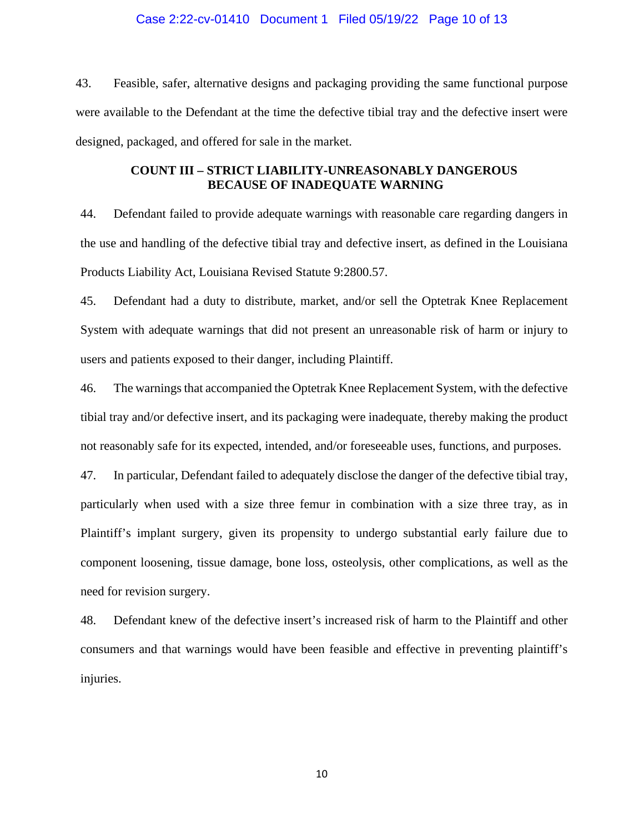### Case 2:22-cv-01410 Document 1 Filed 05/19/22 Page 10 of 13

43. Feasible, safer, alternative designs and packaging providing the same functional purpose were available to the Defendant at the time the defective tibial tray and the defective insert were designed, packaged, and offered for sale in the market.

## **COUNT III – STRICT LIABILITY-UNREASONABLY DANGEROUS BECAUSE OF INADEQUATE WARNING**

44. Defendant failed to provide adequate warnings with reasonable care regarding dangers in the use and handling of the defective tibial tray and defective insert, as defined in the Louisiana Products Liability Act, Louisiana Revised Statute 9:2800.57.

45. Defendant had a duty to distribute, market, and/or sell the Optetrak Knee Replacement System with adequate warnings that did not present an unreasonable risk of harm or injury to users and patients exposed to their danger, including Plaintiff.

46. The warnings that accompanied the Optetrak Knee Replacement System, with the defective tibial tray and/or defective insert, and its packaging were inadequate, thereby making the product not reasonably safe for its expected, intended, and/or foreseeable uses, functions, and purposes.

47. In particular, Defendant failed to adequately disclose the danger of the defective tibial tray, particularly when used with a size three femur in combination with a size three tray, as in Plaintiff's implant surgery, given its propensity to undergo substantial early failure due to component loosening, tissue damage, bone loss, osteolysis, other complications, as well as the need for revision surgery.

48. Defendant knew of the defective insert's increased risk of harm to the Plaintiff and other consumers and that warnings would have been feasible and effective in preventing plaintiff's injuries.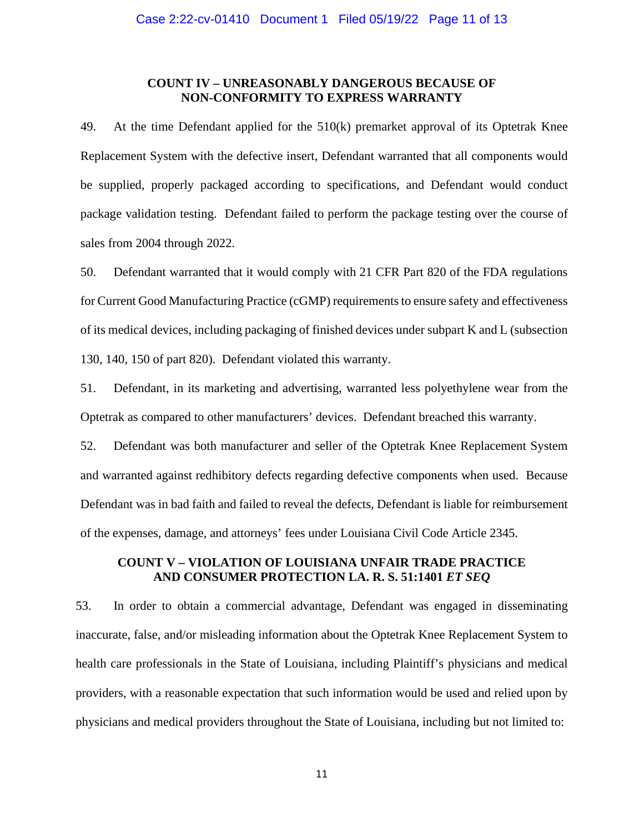### **COUNT IV – UNREASONABLY DANGEROUS BECAUSE OF NON-CONFORMITY TO EXPRESS WARRANTY**

49. At the time Defendant applied for the 510(k) premarket approval of its Optetrak Knee Replacement System with the defective insert, Defendant warranted that all components would be supplied, properly packaged according to specifications, and Defendant would conduct package validation testing. Defendant failed to perform the package testing over the course of sales from 2004 through 2022.

50. Defendant warranted that it would comply with 21 CFR Part 820 of the FDA regulations for Current Good Manufacturing Practice (cGMP) requirements to ensure safety and effectiveness of its medical devices, including packaging of finished devices under subpart K and L (subsection 130, 140, 150 of part 820). Defendant violated this warranty.

51. Defendant, in its marketing and advertising, warranted less polyethylene wear from the Optetrak as compared to other manufacturers' devices. Defendant breached this warranty.

52. Defendant was both manufacturer and seller of the Optetrak Knee Replacement System and warranted against redhibitory defects regarding defective components when used. Because Defendant was in bad faith and failed to reveal the defects, Defendant is liable for reimbursement of the expenses, damage, and attorneys' fees under Louisiana Civil Code Article 2345.

# **COUNT V – VIOLATION OF LOUISIANA UNFAIR TRADE PRACTICE AND CONSUMER PROTECTION LA. R. S. 51:1401** *ET SEQ*

53. In order to obtain a commercial advantage, Defendant was engaged in disseminating inaccurate, false, and/or misleading information about the Optetrak Knee Replacement System to health care professionals in the State of Louisiana, including Plaintiff's physicians and medical providers, with a reasonable expectation that such information would be used and relied upon by physicians and medical providers throughout the State of Louisiana, including but not limited to: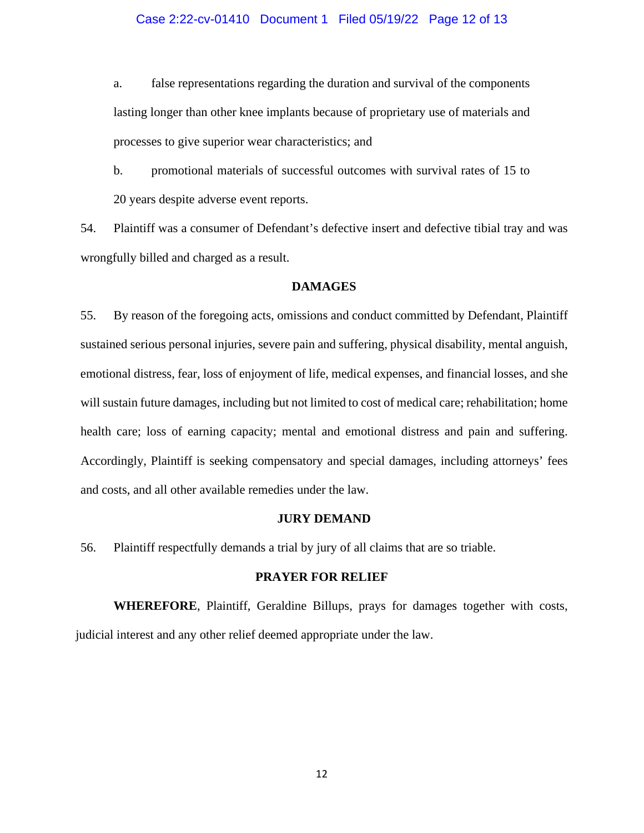### Case 2:22-cv-01410 Document 1 Filed 05/19/22 Page 12 of 13

a. false representations regarding the duration and survival of the components lasting longer than other knee implants because of proprietary use of materials and processes to give superior wear characteristics; and

b. promotional materials of successful outcomes with survival rates of 15 to 20 years despite adverse event reports.

54. Plaintiff was a consumer of Defendant's defective insert and defective tibial tray and was wrongfully billed and charged as a result.

### **DAMAGES**

55. By reason of the foregoing acts, omissions and conduct committed by Defendant, Plaintiff sustained serious personal injuries, severe pain and suffering, physical disability, mental anguish, emotional distress, fear, loss of enjoyment of life, medical expenses, and financial losses, and she will sustain future damages, including but not limited to cost of medical care; rehabilitation; home health care; loss of earning capacity; mental and emotional distress and pain and suffering. Accordingly, Plaintiff is seeking compensatory and special damages, including attorneys' fees and costs, and all other available remedies under the law.

#### **JURY DEMAND**

56. Plaintiff respectfully demands a trial by jury of all claims that are so triable.

### **PRAYER FOR RELIEF**

**WHEREFORE**, Plaintiff, Geraldine Billups, prays for damages together with costs, judicial interest and any other relief deemed appropriate under the law.